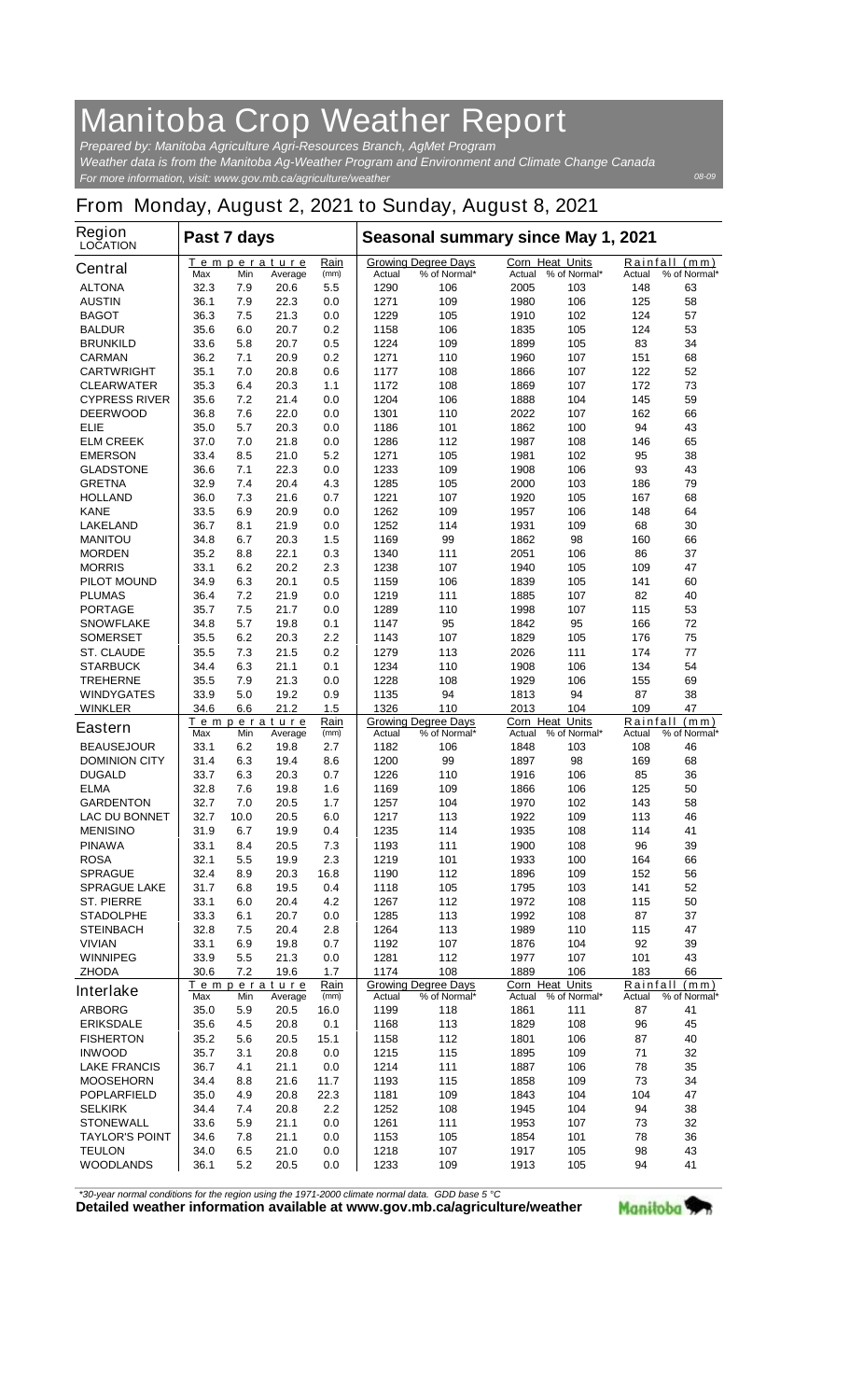## **Manitoba Crop Weather Report**

*For more information, visit: www.gov.mb.ca/agriculture/weather Prepared by: Manitoba Agriculture Agri-Resources Branch, AgMet Program Weather data is from the Manitoba Ag-Weather Program and Environment and Climate Change Canada*

## **From Monday, August 2, 2021 to Sunday, August 8, 2021**

| Rain<br><b>Growing Degree Days</b><br><b>Corn Heat Units</b><br>Temperature<br><b>Central</b><br>Max<br>Min<br>(mm)<br>Actual<br>% of Normal*<br>% of Normal*<br>Average<br>Actual<br><b>ALTONA</b><br>32.3<br>7.9<br>20.6<br>5.5<br>1290<br>106<br>2005<br>103<br>7.9<br>22.3<br>109<br>106<br><b>AUSTIN</b><br>36.1<br>1271<br>1980<br>0.0<br>21.3<br>1229<br>105<br>102<br><b>BAGOT</b><br>36.3<br>7.5<br>0.0<br>1910<br>20.7<br><b>BALDUR</b><br>35.6<br>6.0<br>0.2<br>1158<br>106<br>1835<br>105 | Actual<br>148                              |                               |  |
|-------------------------------------------------------------------------------------------------------------------------------------------------------------------------------------------------------------------------------------------------------------------------------------------------------------------------------------------------------------------------------------------------------------------------------------------------------------------------------------------------------|--------------------------------------------|-------------------------------|--|
|                                                                                                                                                                                                                                                                                                                                                                                                                                                                                                       |                                            | Rainfall (mm)<br>% of Normal* |  |
|                                                                                                                                                                                                                                                                                                                                                                                                                                                                                                       |                                            | 63                            |  |
|                                                                                                                                                                                                                                                                                                                                                                                                                                                                                                       | 125                                        | 58                            |  |
|                                                                                                                                                                                                                                                                                                                                                                                                                                                                                                       | 124                                        | 57                            |  |
|                                                                                                                                                                                                                                                                                                                                                                                                                                                                                                       | 124                                        | 53                            |  |
| 20.7<br><b>BRUNKILD</b><br>33.6<br>5.8<br>0.5<br>1224<br>109<br>1899<br>105                                                                                                                                                                                                                                                                                                                                                                                                                           | 83                                         | 34                            |  |
| <b>CARMAN</b><br>36.2<br>7.1<br>20.9<br>0.2<br>1271<br>110<br>1960<br>107                                                                                                                                                                                                                                                                                                                                                                                                                             | 151                                        | 68                            |  |
| 35.1<br><b>CARTWRIGHT</b><br>7.0<br>20.8<br>0.6<br>1177<br>108<br>1866<br>107                                                                                                                                                                                                                                                                                                                                                                                                                         | 122                                        | 52                            |  |
| 35.3<br>20.3<br><b>CLEARWATER</b><br>6.4<br>1.1<br>1172<br>108<br>1869<br>107                                                                                                                                                                                                                                                                                                                                                                                                                         | 172                                        | 73                            |  |
| <b>CYPRESS RIVER</b><br>35.6<br>21.4<br>0.0<br>1204<br>106<br>1888<br>104<br>7.2<br>36.8<br>7.6<br>22.0<br>0.0<br>1301<br>110<br>2022<br>107<br><b>DEERWOOD</b>                                                                                                                                                                                                                                                                                                                                       | 145<br>162                                 | 59<br>66                      |  |
| <b>ELIE</b><br>35.0<br>20.3<br>101<br>5.7<br>0.0<br>1186<br>1862<br>100                                                                                                                                                                                                                                                                                                                                                                                                                               | 94                                         | 43                            |  |
| <b>ELM CREEK</b><br>21.8<br>112<br>108<br>37.0<br>7.0<br>0.0<br>1286<br>1987                                                                                                                                                                                                                                                                                                                                                                                                                          | 146                                        | 65                            |  |
| <b>EMERSON</b><br>33.4<br>21.0<br>5.2<br>1271<br>105<br>1981<br>102<br>8.5                                                                                                                                                                                                                                                                                                                                                                                                                            | 95                                         | 38                            |  |
| 22.3<br>109<br>36.6<br>0.0<br>1233<br>1908<br>106<br><b>GLADSTONE</b><br>7.1                                                                                                                                                                                                                                                                                                                                                                                                                          | 93                                         | 43                            |  |
| 20.4<br><b>GRETNA</b><br>32.9<br>7.4<br>4.3<br>1285<br>105<br>2000<br>103                                                                                                                                                                                                                                                                                                                                                                                                                             | 186                                        | 79                            |  |
| <b>HOLLAND</b><br>36.0<br>21.6<br>0.7<br>1221<br>107<br>1920<br>105<br>7.3                                                                                                                                                                                                                                                                                                                                                                                                                            | 167                                        | 68                            |  |
| <b>KANE</b><br>33.5<br>6.9<br>20.9<br>0.0<br>1262<br>109<br>1957<br>106                                                                                                                                                                                                                                                                                                                                                                                                                               | 148                                        | 64                            |  |
| <b>LAKELAND</b><br>36.7<br>8.1<br>21.9<br>0.0<br>1252<br>114<br>1931<br>109                                                                                                                                                                                                                                                                                                                                                                                                                           | 68                                         | 30                            |  |
| 99<br>98<br><b>MANITOU</b><br>34.8<br>6.7<br>20.3<br>1.5<br>1169<br>1862                                                                                                                                                                                                                                                                                                                                                                                                                              | 160                                        | 66                            |  |
| 35.2<br>22.1<br>0.3<br>1340<br>111<br>2051<br>106<br><b>MORDEN</b><br>8.8                                                                                                                                                                                                                                                                                                                                                                                                                             | 86                                         | 37                            |  |
| 33.1<br><b>MORRIS</b><br>20.2<br>2.3<br>1238<br>107<br>1940<br>105<br>6.2                                                                                                                                                                                                                                                                                                                                                                                                                             | 109                                        | 47                            |  |
| 20.1<br>0.5<br>106<br><b>PILOT MOUND</b><br>34.9<br>6.3<br>1159<br>1839<br>105                                                                                                                                                                                                                                                                                                                                                                                                                        | 141                                        | 60                            |  |
| 111<br><b>PLUMAS</b><br>36.4<br>7.2<br>21.9<br>0.0<br>1219<br>1885<br>107                                                                                                                                                                                                                                                                                                                                                                                                                             | 82                                         | 40                            |  |
| 35.7<br><b>PORTAGE</b><br>7.5<br>21.7<br>0.0<br>1289<br>110<br>1998<br>107<br>95<br>95                                                                                                                                                                                                                                                                                                                                                                                                                | 115                                        | 53<br>72                      |  |
| 34.8<br>5.7<br>19.8<br>1147<br>1842<br><b>SNOWFLAKE</b><br>0.1<br>20.3<br>2.2<br><b>SOMERSET</b><br>35.5<br>6.2<br>1143<br>107<br>1829<br>105                                                                                                                                                                                                                                                                                                                                                         | 166<br>176                                 | 75                            |  |
| 35.5<br><b>ST. CLAUDE</b><br>7.3<br>21.5<br>0.2<br>1279<br>113<br>2026<br>111                                                                                                                                                                                                                                                                                                                                                                                                                         | 174                                        | 77                            |  |
| 34.4<br>6.3<br>21.1<br>1234<br>110<br>1908<br>106<br><b>STARBUCK</b><br>0.1                                                                                                                                                                                                                                                                                                                                                                                                                           | 134                                        | 54                            |  |
| 35.5<br>21.3<br>1228<br><b>TREHERNE</b><br>7.9<br>0.0<br>108<br>1929<br>106                                                                                                                                                                                                                                                                                                                                                                                                                           | 155                                        | 69                            |  |
| 19.2<br><b>WINDYGATES</b><br>33.9<br>5.0<br>0.9<br>1135<br>94<br>1813<br>94                                                                                                                                                                                                                                                                                                                                                                                                                           | 87                                         | 38                            |  |
| 34.6<br>1.5<br>104<br><b>WINKLER</b><br>6.6<br>21.2<br>1326<br>110<br>2013                                                                                                                                                                                                                                                                                                                                                                                                                            | 109                                        | 47                            |  |
| Rain<br><b>Corn Heat Units</b><br>Temperature<br><b>Growing Degree Days</b><br><b>Eastern</b><br>(mm)<br>% of Normal*<br>% of Normal*<br>Max<br>Min<br>Actual<br>Actual<br>Average                                                                                                                                                                                                                                                                                                                    | Rainfall<br>(mm)<br>% of Normal*<br>Actual |                               |  |
| <b>BEAUSEJOUR</b><br>33.1<br>6.2<br>2.7<br>1182<br>106<br>1848<br>103<br>19.8                                                                                                                                                                                                                                                                                                                                                                                                                         | 108                                        | 46                            |  |
| 19.4<br>99<br>98<br><b>DOMINION CITY</b><br>31.4<br>6.3<br>8.6<br>1200<br>1897                                                                                                                                                                                                                                                                                                                                                                                                                        | 169                                        | 68                            |  |
| <b>DUGALD</b><br>33.7<br>6.3<br>20.3<br>0.7<br>1226<br>110<br>1916<br>106                                                                                                                                                                                                                                                                                                                                                                                                                             | 85                                         | 36                            |  |
| <b>ELMA</b><br>32.8<br>7.6<br>19.8<br>1.6<br>1169<br>109<br>1866<br>106                                                                                                                                                                                                                                                                                                                                                                                                                               | 125                                        | 50                            |  |
| 32.7<br>7.0<br>20.5<br>1.7<br>1257<br>104<br>1970<br><b>GARDENTON</b><br>102                                                                                                                                                                                                                                                                                                                                                                                                                          | 143                                        | 58                            |  |
| 32.7<br>10.0<br>20.5<br>6.0<br>1217<br>113<br>1922<br>109<br><b>LAC DU BONNET</b>                                                                                                                                                                                                                                                                                                                                                                                                                     | 113                                        | 46                            |  |
| 6.7<br><b>MENISINO</b><br>31.9<br>19.9<br>0.4<br>1235<br>114<br>1935<br>108                                                                                                                                                                                                                                                                                                                                                                                                                           | 114                                        | 41                            |  |
| 33.1<br>8.4<br>20.5<br>7.3<br>1193<br>111<br>1900<br><b>PINAWA</b><br>108<br>1933<br><b>ROSA</b><br>32.1<br>5.5<br>19.9<br>2.3<br>1219<br>101<br>100                                                                                                                                                                                                                                                                                                                                                  | 96<br>164                                  | 39<br>66                      |  |
| <b>SPRAGUE</b><br>32.4<br>1190<br>112<br>1896<br>109<br>8.9<br>20.3<br>16.8                                                                                                                                                                                                                                                                                                                                                                                                                           | 152                                        | 56                            |  |
| 105<br>103<br><b>SPRAGUE LAKE</b><br>31.7<br>6.8<br>19.5<br>0.4<br>1118<br>1795                                                                                                                                                                                                                                                                                                                                                                                                                       | 141                                        | 52                            |  |
| 112<br><b>ST. PIERRE</b><br>33.1<br>20.4<br>4.2<br>1267<br>1972<br>108<br>6.0                                                                                                                                                                                                                                                                                                                                                                                                                         | 115                                        | 50                            |  |
| 113<br>33.3<br>20.7<br>1285<br>1992<br>108<br><b>STADOLPHE</b><br>6.1<br>0.0                                                                                                                                                                                                                                                                                                                                                                                                                          | 87                                         | 37                            |  |
| 113<br><b>STEINBACH</b><br>32.8<br>7.5<br>20.4<br>2.8<br>1264<br>1989<br>110                                                                                                                                                                                                                                                                                                                                                                                                                          | 115                                        | 47                            |  |
| <b>VIVIAN</b><br>33.1<br>6.9<br>19.8<br>1192<br>107<br>1876<br>104<br>0.7                                                                                                                                                                                                                                                                                                                                                                                                                             | 92                                         | 39                            |  |
| <b>WINNIPEG</b><br>33.9<br>5.5<br>21.3<br>1281<br>112<br>1977<br>107<br>0.0                                                                                                                                                                                                                                                                                                                                                                                                                           | 101                                        | 43                            |  |
| 30.6<br>19.6<br>1.7<br>1174<br>108<br>1889<br>106<br><b>ZHODA</b><br>7.2                                                                                                                                                                                                                                                                                                                                                                                                                              | 183                                        | 66                            |  |
| Corn Heat Units<br>Rain<br><b>Growing Degree Days</b><br>Temperature<br>Interlake<br>% of Normal*<br>Actual<br>% of Normal*<br>Actual<br>Max<br>Min<br>Average<br>(mm)                                                                                                                                                                                                                                                                                                                                | Rainfall (mm)<br>% of Normal*<br>Actual    |                               |  |
| <b>ARBORG</b><br>35.0<br>5.9<br>20.5<br>1199<br>118<br>1861<br>111<br>16.0                                                                                                                                                                                                                                                                                                                                                                                                                            | 87                                         | 41                            |  |
| 113<br>35.6<br>20.8<br>1829<br>108<br><b>ERIKSDALE</b><br>4.5<br>0.1<br>1168                                                                                                                                                                                                                                                                                                                                                                                                                          | 96                                         | 45                            |  |
| 35.2<br>15.1<br>112<br>1801<br>106<br><b>FISHERTON</b><br>5.6<br>20.5<br>1158                                                                                                                                                                                                                                                                                                                                                                                                                         | 87                                         | 40                            |  |
| 35.7<br>115<br>1895<br>109<br><b>INWOOD</b><br>20.8<br>0.0<br>1215<br>3.1                                                                                                                                                                                                                                                                                                                                                                                                                             | 71                                         | 32                            |  |
| <b>LAKE FRANCIS</b><br>36.7<br>21.1<br>0.0<br>1214<br>111<br>1887<br>106<br>4.1                                                                                                                                                                                                                                                                                                                                                                                                                       | 78                                         | 35                            |  |
| 115<br>34.4<br>21.6<br>11.7<br>1193<br>1858<br>109<br><b>MOOSEHORN</b><br>8.8                                                                                                                                                                                                                                                                                                                                                                                                                         | 73                                         | 34                            |  |
| 35.0<br>109<br><b>POPLARFIELD</b><br>4.9<br>20.8<br>22.3<br>1181<br>1843<br>104                                                                                                                                                                                                                                                                                                                                                                                                                       | 104                                        | 47                            |  |
| <b>SELKIRK</b><br>34.4<br>20.8<br>2.2<br>1252<br>108<br>1945<br>104<br>7.4                                                                                                                                                                                                                                                                                                                                                                                                                            | 94                                         | 38                            |  |
| <b>STONEWALL</b><br>33.6<br>5.9<br>21.1<br>0.0<br>1261<br>111<br>1953<br>107<br>105<br><b>TAYLOR'S POINT</b><br>34.6<br>7.8<br>21.1<br>0.0<br>1153<br>1854<br>101                                                                                                                                                                                                                                                                                                                                     | 73<br>78                                   | 32<br>36                      |  |
| <b>TEULON</b><br>34.0<br>6.5<br>21.0<br>1218<br>107<br>1917<br>105<br>0.0                                                                                                                                                                                                                                                                                                                                                                                                                             | 98                                         | 43                            |  |
|                                                                                                                                                                                                                                                                                                                                                                                                                                                                                                       | 94                                         | 41                            |  |

**Detailed weather information available at www.gov.mb.ca/agriculture/weather** *\*30-year normal conditions for the region using the 1971-2000 climate normal data. GDD base 5 °C* 



*08-09*